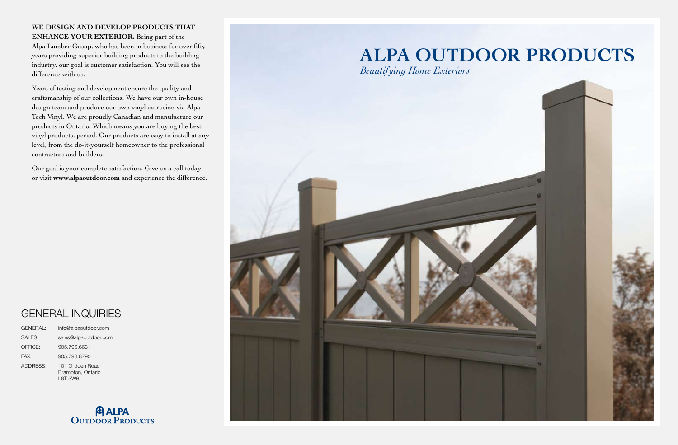# **ALPA OUTDOOR PRODUCTS** *Beautifying Home Exteriors*



| info@alpaoutdoor.com                            |
|-------------------------------------------------|
| sales@alpaoutdoor.com                           |
| 905.796.6631                                    |
| 905.796.8790                                    |
| 101 Glidden Road<br>Brampton, Ontario<br>16T3W6 |
|                                                 |



## **WE DESIGN AND DEVELOP PRODUCTS THAT ENHANCE YOUR EXTERIOR.** Being part of the

Alpa Lumber Group, who has been in business for over fifty years providing superior building products to the building industry, our goal is customer satisfaction. You will see the difference with us.

Years of testing and development ensure the quality and craftsmanship of our collections. We have our own in-house design team and produce our own vinyl extrusion via Alpa Tech Vinyl. We are proudly Canadian and manufacture our products in Ontario. Which means you are buying the best vinyl products, period. Our products are easy to install at any level, from the do-it-yourself homeowner to the professional contractors and builders.

Our goal is your complete satisfaction. Give us a call today or visit **www.alpaoutdoor.com** and experience the difference.

# **GENERAL INQUIRIES**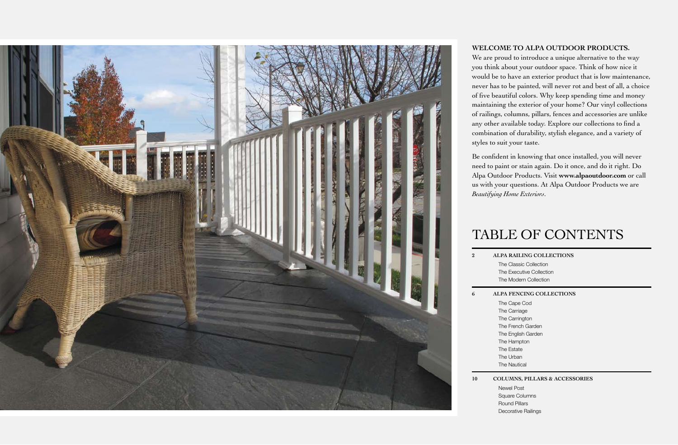

### WELCOME TO ALPA OUTDOOR PRODUCTS.

**2 ALPA Railing Collections** The Classic Collection The Executive Collection The Modern Collection

### **6 ALPA Fencing Collections**

## The Cape Cod

 The Carriage The Carrington The French Garden The English Garden The Hampton The Estate The Urban The Nautical

### **10 Columns, Pillars & Accessories**

 Newel Post Square Columns Round Pillars Decorative Railings

We are proud to introduce a unique alternative to the way you think about your outdoor space. Think of how nice it would be to have an exterior product that is low maintenance, never has to be painted, will never rot and best of all, a choice of five beautiful colors. Why keep spending time and money maintaining the exterior of your home? Our vinyl collections of railings, columns, pillars, fences and accessories are unlike any other available today. Explore our collections to find a combination of durability, stylish elegance, and a variety of styles to suit your taste.

Be confident in knowing that once installed, you will never need to paint or stain again. Do it once, and do it right. Do Alpa Outdoor Products. Visit **www.alpaoutdoor.com** or call us with your questions. At Alpa Outdoor Products we are *Beautifying Home Exteriors*.

# TABLE OF CONTENTS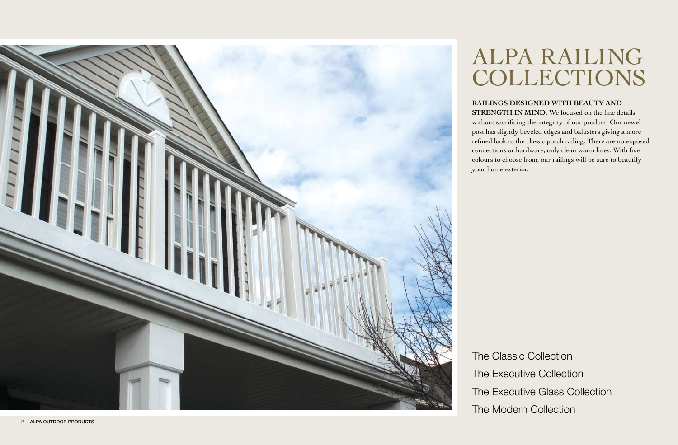

The Classic Collection The Executive Collection The Modern Collection

# Alpa Railing **COLLECTIONS**

- 
- The Executive Glass Collection
	-

### **RAILINGS DESIGNED WITH BEAUTY AND**

**STRENGTH IN MIND.** We focused on the fine details without sacrificing the integrity of our product. Our newel post has slightly beveled edges and balusters giving a more refined look to the classic porch railing. There are no exposed connections or hardware, only clean warm lines. With five colours to choose from, our railings will be sure to beautify your home exterior.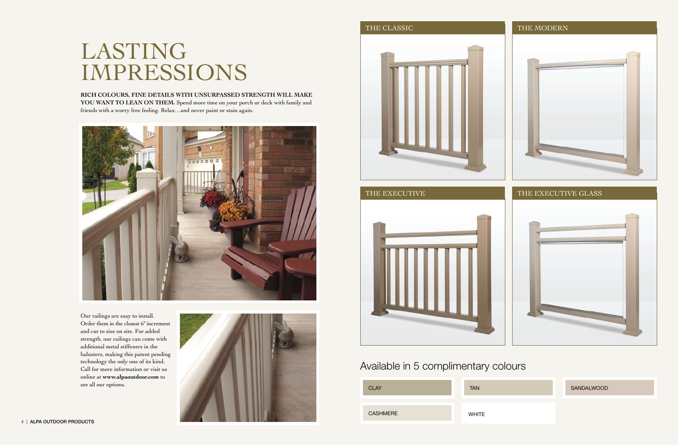# **LASTING** Impressions

**Rich colours, fine details with unsurpassed strength will make** YOU WANT TO LEAN ON THEM. Spend more time on your porch or deck with family and friends with a worry free feeling. Relax…and never paint or stain again.



## Available in 5 complimentary colours

Our railings are easy to install. Order them in the closest 6" increment and cut to size on site. For added strength, our railings can come with additional metal stiffeners in the balusters, making this patent pending technology the only one of its kind. Call for more information or visit us online at **www.alpaoutdoor.com** to see all our options.



| <b>CLAY</b>     | <b>TAN</b>   |
|-----------------|--------------|
|                 |              |
| <b>CASHMERE</b> | <b>WHITE</b> |







### SANDALWOOD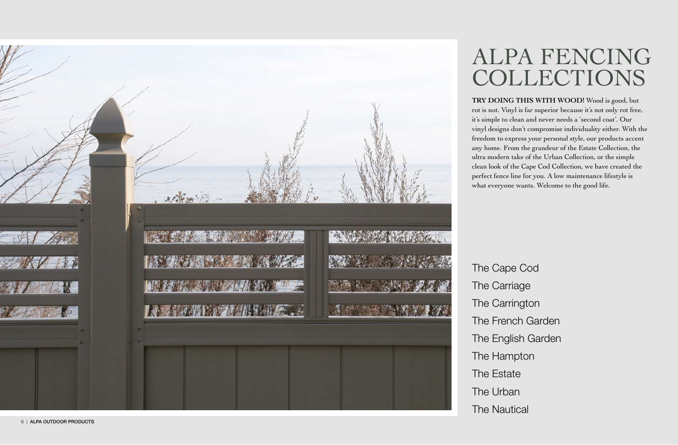

# ALPA FENCINC COLLECTIONS

The Cape Cod The Carriage The Carrington The French Garden The English Garden The Hampton The Estate The Urban The Nautical

**TRY DOING THIS WITH WOOD!** Wood is good, but rot is not. Vinyl is far superior because it's not only rot free, it's simple to clean and never needs a 'second coat'. Our vinyl designs don't compromise individuality either. With the freedom to express your personal style, our products accent any home. From the grandeur of the Estate Collection, the ultra modern take of the Urban Collection, or the simple clean look of the Cape Cod Collection, we have created the perfect fence line for you. A low maintenance lifestyle is what everyone wants. Welcome to the good life.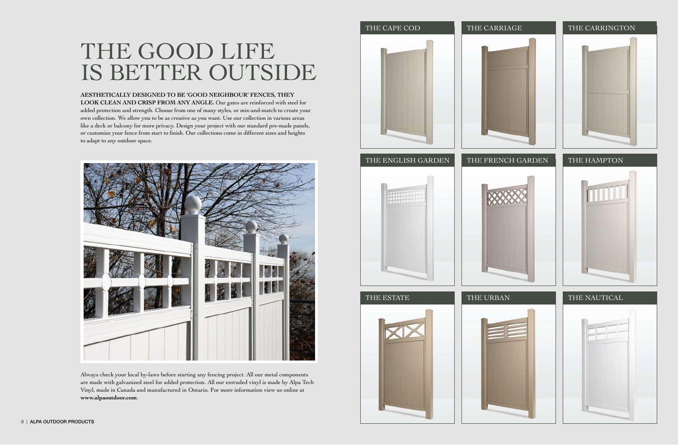



# THE GOOD LIFE IS BETTER OUTSIDE

### **Aesthetically designed to be 'good neighbour' fences, they**

**look clean and crisp from any angle.** Our gates are reinforced with steel for added protection and strength. Choose from one of many styles, or mix-and-match to create your own collection. We allow you to be as creative as you want. Use our collection in various areas like a deck or balcony for more privacy. Design your project with our standard pre-made panels, or customize your fence from start to finish. Our collections come in different sizes and heights to adapt to any outdoor space.



Always check your local by-laws before starting any fencing project. All our metal components are made with galvanized steel for added protection. All our extruded vinyl is made by Alpa Tech Vinyl, made in Canada and manufactured in Ontario. For more information view us online at **www.alpaoutdoor.com**.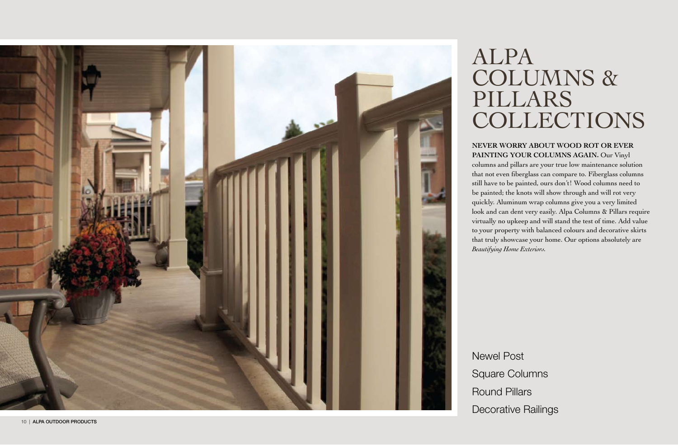

# ALPA Columns & Pillar s **COLLECTIONS**

Newel Post Square Columns Round Pillars

## **NEVER WORRY ABOUT WOOD ROT OR EVER** PAINTING YOUR COLUMNS AGAIN. Our Vinyl

NEVER WORRY ABOUT WOOD ROT<br>PAINTING YOUR COLUMNS AGAIN.<br>columns and pillars are your true low mainte<br>that not even fiberglass can compare to. Fibe<br>still have to be painted, ours don't! Wood col<br>be painted; the knots will s columns and pillars are your true low maintenance solution that not even fiberglass can compare to. Fiberglass columns still have to be painted, ours don't! Wood columns need to be painted; the knots will show through and will rot very quickly. Aluminum wrap columns give you a very limited look and can dent very easily. Alpa Columns & Pillars require virtually no upkeep and will stand the test of time. Add value to your property with balanced colours and decorative skirts that truly showcase your home. Our options absolutely are *Beautifying Home Exteriors.*